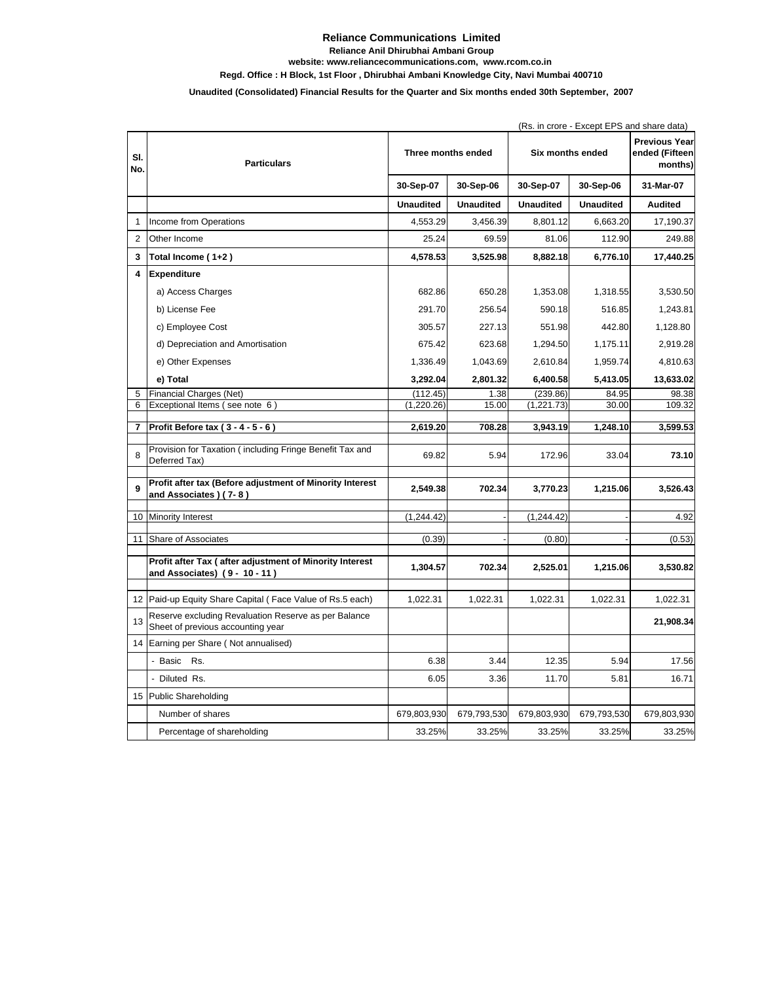## **Reliance Communications Limited**

**Reliance Anil Dhirubhai Ambani Group**

**website: www.reliancecommunications.com, www.rcom.co.in**

## **Regd. Office : H Block, 1st Floor , Dhirubhai Ambani Knowledge City, Navi Mumbai 400710**

## **Unaudited (Consolidated) Financial Results for the Quarter and Six months ended 30th September, 2007**

|                |                                                                                           | (Rs. in crore - Except EPS and share data) |                  |                  |                  |                                                   |
|----------------|-------------------------------------------------------------------------------------------|--------------------------------------------|------------------|------------------|------------------|---------------------------------------------------|
| SI.<br>No.     | <b>Particulars</b>                                                                        | Three months ended                         |                  | Six months ended |                  | <b>Previous Year</b><br>ended (Fifteen<br>months) |
|                |                                                                                           | 30-Sep-07                                  | 30-Sep-06        | 30-Sep-07        | 30-Sep-06        | 31-Mar-07                                         |
|                |                                                                                           | <b>Unaudited</b>                           | <b>Unaudited</b> | <b>Unaudited</b> | <b>Unaudited</b> | <b>Audited</b>                                    |
| $\mathbf{1}$   | Income from Operations                                                                    | 4,553.29                                   | 3,456.39         | 8,801.12         | 6,663.20         | 17,190.37                                         |
| $\overline{2}$ | Other Income                                                                              | 25.24                                      | 69.59            | 81.06            | 112.90           | 249.88                                            |
| 3              | Total Income (1+2)                                                                        | 4,578.53                                   | 3,525.98         | 8,882.18         | 6,776.10         | 17,440.25                                         |
| 4              | Expenditure                                                                               |                                            |                  |                  |                  |                                                   |
|                | a) Access Charges                                                                         | 682.86                                     | 650.28           | 1,353.08         | 1,318.55         | 3,530.50                                          |
|                | b) License Fee                                                                            | 291.70                                     | 256.54           | 590.18           | 516.85           | 1,243.81                                          |
|                | c) Employee Cost                                                                          | 305.57                                     | 227.13           | 551.98           | 442.80           | 1,128.80                                          |
|                | d) Depreciation and Amortisation                                                          | 675.42                                     | 623.68           | 1,294.50         | 1,175.11         | 2,919.28                                          |
|                | e) Other Expenses                                                                         | 1,336.49                                   | 1,043.69         | 2,610.84         | 1,959.74         | 4,810.63                                          |
|                | e) Total                                                                                  | 3,292.04                                   | 2,801.32         | 6,400.58         | 5,413.05         | 13,633.02                                         |
| 5              | Financial Charges (Net)                                                                   | (112.45)                                   | 1.38             | (239.86)         | 84.95            | 98.38                                             |
| 6              | Exceptional Items (see note 6)                                                            | (1, 220.26)                                | 15.00            | (1, 221.73)      | 30.00            | 109.32                                            |
| 7              | Profit Before tax (3 - 4 - 5 - 6)                                                         | 2,619.20                                   | 708.28           | 3,943.19         | 1,248.10         | 3,599.53                                          |
| 8              | Provision for Taxation (including Fringe Benefit Tax and<br>Deferred Tax)                 | 69.82                                      | 5.94             | 172.96           | 33.04            | 73.10                                             |
| 9              | Profit after tax (Before adjustment of Minority Interest<br>and Associates ) (7-8)        | 2,549.38                                   | 702.34           | 3,770.23         | 1,215.06         | 3,526.43                                          |
|                | 10 Minority Interest                                                                      | (1, 244.42)                                |                  | (1, 244.42)      |                  | 4.92                                              |
|                | 11 Share of Associates                                                                    | (0.39)                                     |                  | (0.80)           |                  | (0.53)                                            |
|                |                                                                                           |                                            |                  |                  |                  |                                                   |
|                | Profit after Tax (after adjustment of Minority Interest<br>and Associates) (9 - 10 - 11)  | 1,304.57                                   | 702.34           | 2,525.01         | 1,215.06         | 3,530.82                                          |
|                | 12 Paid-up Equity Share Capital (Face Value of Rs.5 each)                                 | 1,022.31                                   | 1,022.31         | 1,022.31         | 1,022.31         | 1,022.31                                          |
| 13             | Reserve excluding Revaluation Reserve as per Balance<br>Sheet of previous accounting year |                                            |                  |                  |                  | 21,908.34                                         |
| 14             | Earning per Share (Not annualised)                                                        |                                            |                  |                  |                  |                                                   |
|                | - Basic Rs.                                                                               | 6.38                                       | 3.44             | 12.35            | 5.94             | 17.56                                             |
|                | - Diluted Rs.                                                                             | 6.05                                       | 3.36             | 11.70            | 5.81             | 16.71                                             |
|                | 15 Public Shareholding                                                                    |                                            |                  |                  |                  |                                                   |
|                | Number of shares                                                                          | 679,803,930                                | 679,793,530      | 679,803,930      | 679,793,530      | 679,803,930                                       |
|                | Percentage of shareholding                                                                | 33.25%                                     | 33.25%           | 33.25%           | 33.25%           | 33.25%                                            |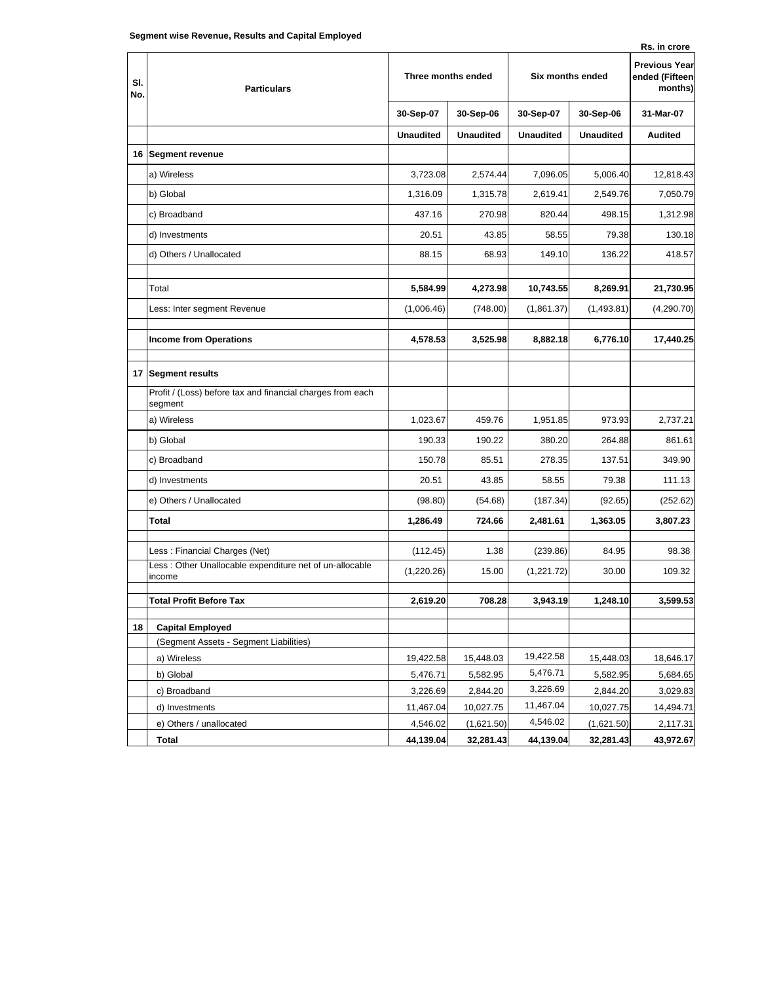| əcyment wise Revenue, Results anu Capital Linployeu<br>Rs. in crore |                                                                       |                    |                  |                  |                  |                                                   |  |
|---------------------------------------------------------------------|-----------------------------------------------------------------------|--------------------|------------------|------------------|------------------|---------------------------------------------------|--|
| SI.<br>No.                                                          | <b>Particulars</b>                                                    | Three months ended |                  | Six months ended |                  | <b>Previous Year</b><br>ended (Fifteen<br>months) |  |
|                                                                     |                                                                       | 30-Sep-07          | 30-Sep-06        | 30-Sep-07        | 30-Sep-06        | 31-Mar-07                                         |  |
|                                                                     |                                                                       | <b>Unaudited</b>   | <b>Unaudited</b> | <b>Unaudited</b> | <b>Unaudited</b> | <b>Audited</b>                                    |  |
|                                                                     | 16 Segment revenue                                                    |                    |                  |                  |                  |                                                   |  |
|                                                                     | a) Wireless                                                           | 3,723.08           | 2,574.44         | 7,096.05         | 5,006.40         | 12,818.43                                         |  |
|                                                                     | b) Global                                                             | 1,316.09           | 1,315.78         | 2,619.41         | 2,549.76         | 7,050.79                                          |  |
|                                                                     | c) Broadband                                                          | 437.16             | 270.98           | 820.44           | 498.15           | 1,312.98                                          |  |
|                                                                     | d) Investments                                                        | 20.51              | 43.85            | 58.55            | 79.38            | 130.18                                            |  |
|                                                                     | d) Others / Unallocated                                               | 88.15              | 68.93            | 149.10           | 136.22           | 418.57                                            |  |
|                                                                     |                                                                       |                    |                  |                  |                  |                                                   |  |
|                                                                     | Total                                                                 | 5,584.99           | 4,273.98         | 10,743.55        | 8,269.91         | 21,730.95                                         |  |
|                                                                     | Less: Inter segment Revenue                                           | (1,006.46)         | (748.00)         | (1,861.37)       | (1,493.81)       | (4,290.70)                                        |  |
|                                                                     | <b>Income from Operations</b>                                         | 4,578.53           | 3,525.98         | 8,882.18         | 6,776.10         | 17,440.25                                         |  |
|                                                                     |                                                                       |                    |                  |                  |                  |                                                   |  |
|                                                                     | 17 Segment results                                                    |                    |                  |                  |                  |                                                   |  |
|                                                                     | Profit / (Loss) before tax and financial charges from each<br>segment |                    |                  |                  |                  |                                                   |  |
|                                                                     | a) Wireless                                                           | 1,023.67           | 459.76           | 1,951.85         | 973.93           | 2,737.21                                          |  |
|                                                                     | b) Global                                                             | 190.33             | 190.22           | 380.20           | 264.88           | 861.61                                            |  |
|                                                                     | c) Broadband                                                          | 150.78             | 85.51            | 278.35           | 137.51           | 349.90                                            |  |
|                                                                     | d) Investments                                                        | 20.51              | 43.85            | 58.55            | 79.38            | 111.13                                            |  |
|                                                                     | e) Others / Unallocated                                               | (98.80)            | (54.68)          | (187.34)         | (92.65)          | (252.62)                                          |  |
|                                                                     | Total                                                                 | 1,286.49           | 724.66           | 2,481.61         | 1,363.05         | 3,807.23                                          |  |
|                                                                     | Less: Financial Charges (Net)                                         | (112.45)           | 1.38             | (239.86)         | 84.95            | 98.38                                             |  |
|                                                                     | Less : Other Unallocable expenditure net of un-allocable              | (1,220.26)         | 15.00            | (1,221.72)       | 30.00            | 109.32                                            |  |
|                                                                     | income                                                                |                    |                  |                  |                  |                                                   |  |
|                                                                     | <b>Total Profit Before Tax</b>                                        | 2,619.20           | 708.28           | 3,943.19         | 1,248.10         | 3,599.53                                          |  |
| 18                                                                  | <b>Capital Employed</b>                                               |                    |                  |                  |                  |                                                   |  |
|                                                                     | (Segment Assets - Segment Liabilities)                                |                    |                  |                  |                  |                                                   |  |
|                                                                     | a) Wireless                                                           | 19,422.58          | 15,448.03        | 19,422.58        | 15,448.03        | 18,646.17                                         |  |
|                                                                     | b) Global                                                             | 5,476.71           | 5,582.95         | 5,476.71         | 5,582.95         | 5,684.65                                          |  |
|                                                                     | c) Broadband                                                          | 3,226.69           | 2,844.20         | 3,226.69         | 2,844.20         | 3,029.83                                          |  |
|                                                                     | d) Investments                                                        | 11,467.04          | 10,027.75        | 11,467.04        | 10,027.75        | 14,494.71                                         |  |
|                                                                     | e) Others / unallocated                                               | 4,546.02           | (1,621.50)       | 4,546.02         | (1,621.50)       | 2,117.31                                          |  |
|                                                                     | Total                                                                 | 44,139.04          | 32,281.43        | 44,139.04        | 32,281.43        | 43,972.67                                         |  |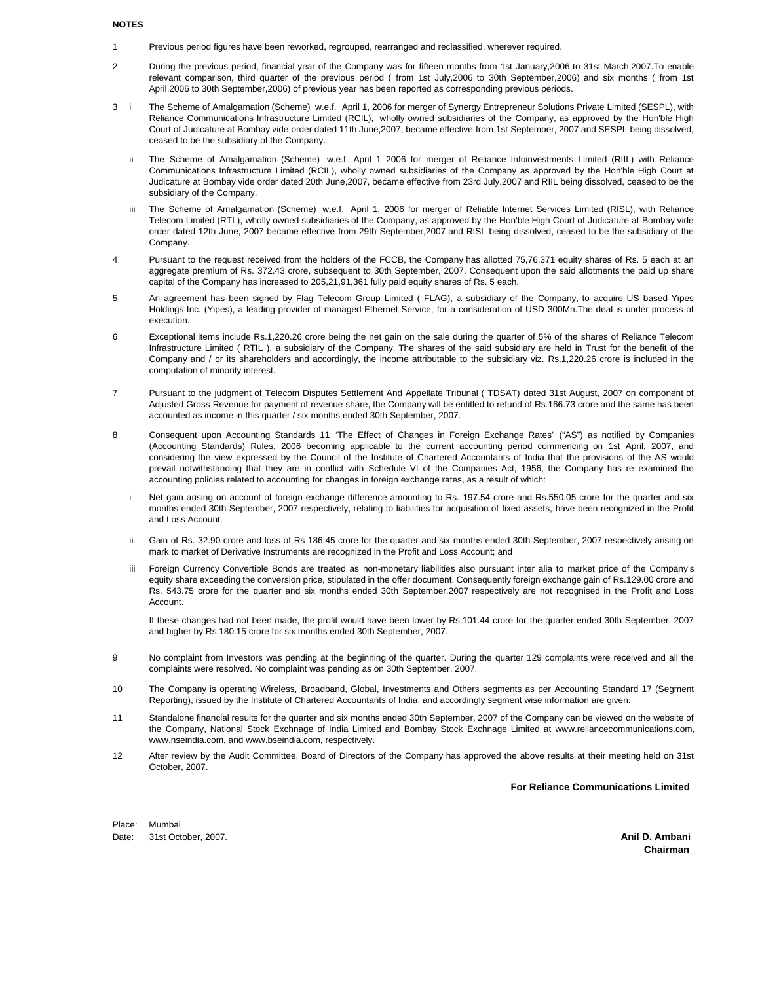## **NOTES**

- 1 Previous period figures have been reworked, regrouped, rearranged and reclassified, wherever required.
- $\overline{2}$ During the previous period, financial year of the Company was for fifteen months from 1st January,2006 to 31st March,2007.To enable relevant comparison, third quarter of the previous period ( from 1st July,2006 to 30th September,2006) and six months ( from 1st April,2006 to 30th September,2006) of previous year has been reported as corresponding previous periods.
- 3 i The Scheme of Amalgamation (Scheme) w.e.f. April 1, 2006 for merger of Synergy Entrepreneur Solutions Private Limited (SESPL), with Reliance Communications Infrastructure Limited (RCIL), wholly owned subsidiaries of the Company, as approved by the Hon'ble High Court of Judicature at Bombay vide order dated 11th June,2007, became effective from 1st September, 2007 and SESPL being dissolved, ceased to be the subsidiary of the Company.
	- ii The Scheme of Amalgamation (Scheme) w.e.f. April 1 2006 for merger of Reliance Infoinvestments Limited (RIIL) with Reliance Communications Infrastructure Limited (RCIL), wholly owned subsidiaries of the Company as approved by the Hon'ble High Court at Judicature at Bombay vide order dated 20th June,2007, became effective from 23rd July,2007 and RIIL being dissolved, ceased to be the subsidiary of the Company.
	- iii The Scheme of Amalgamation (Scheme) w.e.f. April 1, 2006 for merger of Reliable Internet Services Limited (RISL), with Reliance Telecom Limited (RTL), wholly owned subsidiaries of the Company, as approved by the Hon'ble High Court of Judicature at Bombay vide order dated 12th June, 2007 became effective from 29th September,2007 and RISL being dissolved, ceased to be the subsidiary of the Company.
- 4 Pursuant to the request received from the holders of the FCCB, the Company has allotted 75,76,371 equity shares of Rs. 5 each at an aggregate premium of Rs. 372.43 crore, subsequent to 30th September, 2007. Consequent upon the said allotments the paid up share capital of the Company has increased to 205,21,91,361 fully paid equity shares of Rs. 5 each.
- 5 An agreement has been signed by Flag Telecom Group Limited ( FLAG), a subsidiary of the Company, to acquire US based Yipes Holdings Inc. (Yipes), a leading provider of managed Ethernet Service, for a consideration of USD 300Mn.The deal is under process of execution.
- 6 Exceptional items include Rs.1,220.26 crore being the net gain on the sale during the quarter of 5% of the shares of Reliance Telecom Infrastructure Limited ( RTIL ), a subsidiary of the Company. The shares of the said subsidiary are held in Trust for the benefit of the Company and / or its shareholders and accordingly, the income attributable to the subsidiary viz. Rs.1,220.26 crore is included in the computation of minority interest.
- 7 Pursuant to the judgment of Telecom Disputes Settlement And Appellate Tribunal ( TDSAT) dated 31st August, 2007 on component of Adjusted Gross Revenue for payment of revenue share, the Company will be entitled to refund of Rs.166.73 crore and the same has been accounted as income in this quarter / six months ended 30th September, 2007.
- 8 Consequent upon Accounting Standards 11 "The Effect of Changes in Foreign Exchange Rates" ("AS") as notified by Companies (Accounting Standards) Rules, 2006 becoming applicable to the current accounting period commencing on 1st April, 2007, and considering the view expressed by the Council of the Institute of Chartered Accountants of India that the provisions of the AS would prevail notwithstanding that they are in conflict with Schedule VI of the Companies Act, 1956, the Company has re examined the accounting policies related to accounting for changes in foreign exchange rates, as a result of which:
	- i Net gain arising on account of foreign exchange difference amounting to Rs. 197.54 crore and Rs.550.05 crore for the quarter and six months ended 30th September, 2007 respectively, relating to liabilities for acquisition of fixed assets, have been recognized in the Profit and Loss Account.
	- ii Gain of Rs. 32.90 crore and loss of Rs 186.45 crore for the quarter and six months ended 30th September, 2007 respectively arising on mark to market of Derivative Instruments are recognized in the Profit and Loss Account; and
	- iii Foreign Currency Convertible Bonds are treated as non-monetary liabilities also pursuant inter alia to market price of the Company's equity share exceeding the conversion price, stipulated in the offer document. Consequently foreign exchange gain of Rs.129.00 crore and Rs. 543.75 crore for the quarter and six months ended 30th September,2007 respectively are not recognised in the Profit and Loss Account.

If these changes had not been made, the profit would have been lower by Rs.101.44 crore for the quarter ended 30th September, 2007 and higher by Rs.180.15 crore for six months ended 30th September, 2007.

- 9 No complaint from Investors was pending at the beginning of the quarter. During the quarter 129 complaints were received and all the complaints were resolved. No complaint was pending as on 30th September, 2007.
- 10 The Company is operating Wireless, Broadband, Global, Investments and Others segments as per Accounting Standard 17 (Segment Reporting), issued by the Institute of Chartered Accountants of India, and accordingly segment wise information are given.
- 11 Standalone financial results for the quarter and six months ended 30th September, 2007 of the Company can be viewed on the website of the Company, National Stock Exchnage of India Limited and Bombay Stock Exchnage Limited at www.reliancecommunications.com, www.nseindia.com, and www.bseindia.com, respectively.
- 12 After review by the Audit Committee, Board of Directors of the Company has approved the above results at their meeting held on 31st October, 2007.

**For Reliance Communications Limited**

Place: Mumbai Date: 31st October, 2007. **Anil D. Ambani**

**Chairman**